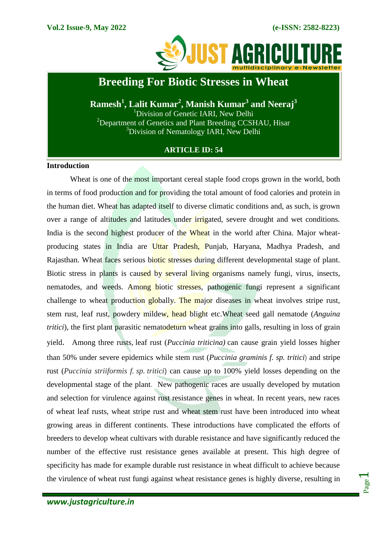

## **Breeding For Biotic Stresses in Wheat**

**Ramesh<sup>1</sup> , Lalit Kumar<sup>2</sup> , Manish Kumar<sup>3</sup> and Neeraj<sup>3</sup>** <sup>1</sup>Division of Genetic IARI, New Delhi  $2$ Department of Genetics and Plant Breeding CCSHAU, Hisar <sup>3</sup>Division of Nematology IARI, New Delhi

## **ARTICLE ID: 54**

## **Introduction**

Wheat is one of the most important cereal staple food crops grown in the world, both in terms of food production and for providing the total amount of food calories and protein in the human diet. Wheat has adapted itself to diverse climatic conditions and, as such, is grown over a range of altitudes and latitudes under irrigated, severe drought and wet conditions. India is the second highest producer of the Wheat in the world after China. Major wheatproducing states in India are Uttar Pradesh, Punjab, Haryana, Madhya Pradesh, and Rajasthan. Wheat faces serious biotic stresses during different developmental stage of plant. Biotic stress in plants is caused by several living organisms namely fungi, virus, insects, nematodes, and weeds. Among biotic stresses, pathogenic fungi represent a significant challenge to wheat production globally. The major diseases in wheat involves stripe rust, stem rust, leaf rust, powdery mildew, head blight etc.Wheat seed gall nematode (*Anguina tritici*), the first plant parasitic nematodeturn wheat grains into galls, resulting in loss of grain yield. Among three rusts, leaf rust (*Puccinia triticina)* can cause grain yield losses higher than 50% under severe epidemics while stem rust (*Puccinia graminis f. sp. tritici*) and stripe rust (*Puccinia striiformis f. sp. tritici*) can cause up to 100% yield losses depending on the developmental stage of the plant. New pathogenic races are usually developed by mutation and selection for virulence against rust resistance genes in wheat. In recent years, new races of wheat leaf rusts, wheat stripe rust and wheat stem rust have been introduced into wheat growing areas in different continents. These introductions have complicated the efforts of breeders to develop wheat cultivars with durable resistance and have significantly reduced the number of the effective rust resistance genes available at present. This high degree of specificity has made for example durable rust resistance in wheat difficult to achieve because the virulence of wheat rust fungi against wheat resistance genes is highly diverse, resulting in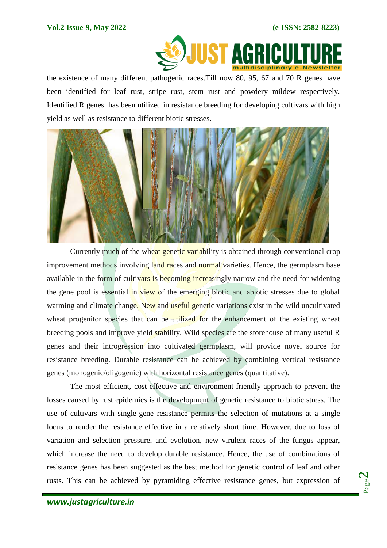

the existence of many different pathogenic races.Till now 80, 95, 67 and 70 R genes have been identified for leaf rust, stripe rust, stem rust and powdery mildew respectively. Identified R genes has been utilized in resistance breeding for developing cultivars with high yield as well as resistance to different biotic stresses.



Currently much of the wheat genetic variability is obtained through conventional crop improvement methods involving land races and normal varieties. Hence, the germplasm base available in the form of cultivars is becoming increasingly narrow and the need for widening the gene pool is essential in view of the emerging biotic and abiotic stresses due to global warming and climate change. New and useful genetic variations exist in the wild uncultivated wheat progenitor species that can be utilized for the enhancement of the existing wheat breeding pools and improve yield stability. Wild species are the storehouse of many useful R genes and their introgression into cultivated germplasm, will provide novel source for resistance breeding. Durable resistance can be achieved by combining vertical resistance genes (monogenic/oligogenic) with horizontal resistance genes (quantitative).

The most efficient, cost-effective and environment-friendly approach to prevent the losses caused by rust epidemics is the development of genetic resistance to biotic stress. The use of cultivars with single-gene resistance permits the selection of mutations at a single locus to render the resistance effective in a relatively short time. However, due to loss of variation and selection pressure, and evolution, new virulent races of the fungus appear, which increase the need to develop durable resistance. Hence, the use of combinations of resistance genes has been suggested as the best method for genetic control of leaf and other rusts. This can be achieved by pyramiding effective resistance genes, but expression of